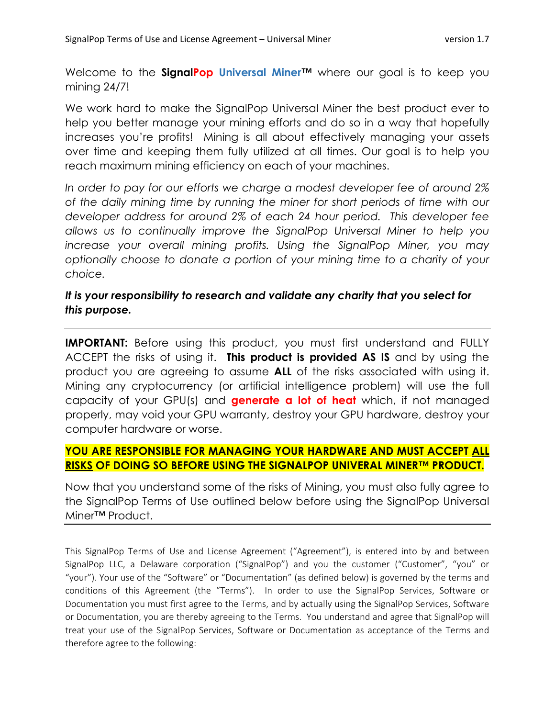Welcome to the **SignalPop Universal Miner™** where our goal is to keep you mining 24/7!

We work hard to make the SignalPop Universal Miner the best product ever to help you better manage your mining efforts and do so in a way that hopefully increases you're profits! Mining is all about effectively managing your assets over time and keeping them fully utilized at all times. Our goal is to help you reach maximum mining efficiency on each of your machines.

*In order to pay for our efforts we charge a modest developer fee of around 2% of the daily mining time by running the miner for short periods of time with our developer address for around 2% of each 24 hour period. This developer fee allows us to continually improve the SignalPop Universal Miner to help you increase your overall mining profits. Using the SignalPop Miner, you may optionally choose to donate a portion of your mining time to a charity of your choice.*

# *It is your responsibility to research and validate any charity that you select for this purpose.*

**IMPORTANT:** Before using this product, you must first understand and FULLY ACCEPT the risks of using it. **This product is provided AS IS** and by using the product you are agreeing to assume **ALL** of the risks associated with using it. Mining any cryptocurrency (or artificial intelligence problem) will use the full capacity of your GPU(s) and **generate a lot of heat** which, if not managed properly, may void your GPU warranty, destroy your GPU hardware, destroy your computer hardware or worse.

## **YOU ARE RESPONSIBLE FOR MANAGING YOUR HARDWARE AND MUST ACCEPT ALL RISKS OF DOING SO BEFORE USING THE SIGNALPOP UNIVERAL MINER™ PRODUCT.**

Now that you understand some of the risks of Mining, you must also fully agree to the SignalPop Terms of Use outlined below before using the SignalPop Universal Miner™ Product.

This SignalPop Terms of Use and License Agreement ("Agreement"), is entered into by and between SignalPop LLC, a Delaware corporation ("SignalPop") and you the customer ("Customer", "you" or "your"). Your use of the "Software" or "Documentation" (as defined below) is governed by the terms and conditions of this Agreement (the "Terms"). In order to use the SignalPop Services, Software or Documentation you must first agree to the Terms, and by actually using the SignalPop Services, Software or Documentation, you are thereby agreeing to the Terms. You understand and agree that SignalPop will treat your use of the SignalPop Services, Software or Documentation as acceptance of the Terms and therefore agree to the following: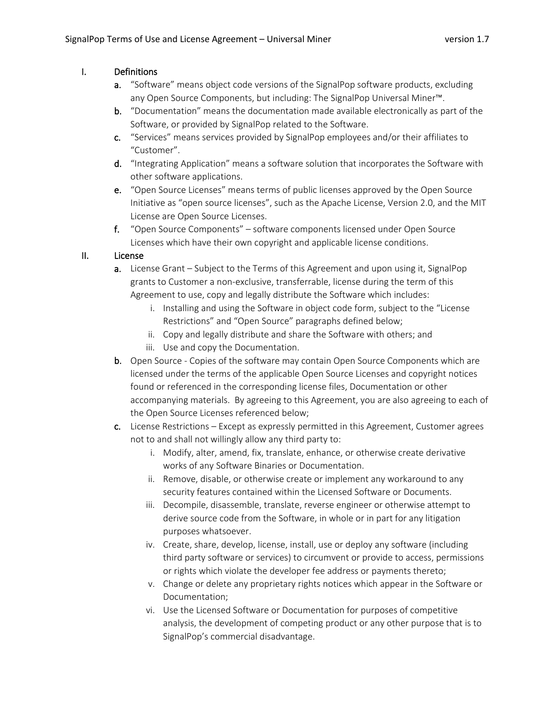## I. Definitions

- a. "Software" means object code versions of the SignalPop software products, excluding any Open Source Components, but including: The SignalPop Universal Miner™.
- b. "Documentation" means the documentation made available electronically as part of the Software, or provided by SignalPop related to the Software.
- c. "Services" means services provided by SignalPop employees and/or their affiliates to "Customer".
- d. "Integrating Application" means a software solution that incorporates the Software with other software applications.
- e. "Open Source Licenses" means terms of public licenses approved by the Open Source Initiative as "open source licenses", such as the Apache License, Version 2.0, and the MIT License are Open Source Licenses.
- f. "Open Source Components" software components licensed under Open Source Licenses which have their own copyright and applicable license conditions.

## II. License

- a. License Grant Subject to the Terms of this Agreement and upon using it, SignalPop grants to Customer a non-exclusive, transferrable, license during the term of this Agreement to use, copy and legally distribute the Software which includes:
	- i. Installing and using the Software in object code form, subject to the "License Restrictions" and "Open Source" paragraphs defined below;
	- ii. Copy and legally distribute and share the Software with others; and
	- iii. Use and copy the Documentation.
- b. Open Source Copies of the software may contain Open Source Components which are licensed under the terms of the applicable Open Source Licenses and copyright notices found or referenced in the corresponding license files, Documentation or other accompanying materials. By agreeing to this Agreement, you are also agreeing to each of the Open Source Licenses referenced below;
- c. License Restrictions Except as expressly permitted in this Agreement, Customer agrees not to and shall not willingly allow any third party to:
	- i. Modify, alter, amend, fix, translate, enhance, or otherwise create derivative works of any Software Binaries or Documentation.
	- ii. Remove, disable, or otherwise create or implement any workaround to any security features contained within the Licensed Software or Documents.
	- iii. Decompile, disassemble, translate, reverse engineer or otherwise attempt to derive source code from the Software, in whole or in part for any litigation purposes whatsoever.
	- iv. Create, share, develop, license, install, use or deploy any software (including third party software or services) to circumvent or provide to access, permissions or rights which violate the developer fee address or payments thereto;
	- v. Change or delete any proprietary rights notices which appear in the Software or Documentation;
	- vi. Use the Licensed Software or Documentation for purposes of competitive analysis, the development of competing product or any other purpose that is to SignalPop's commercial disadvantage.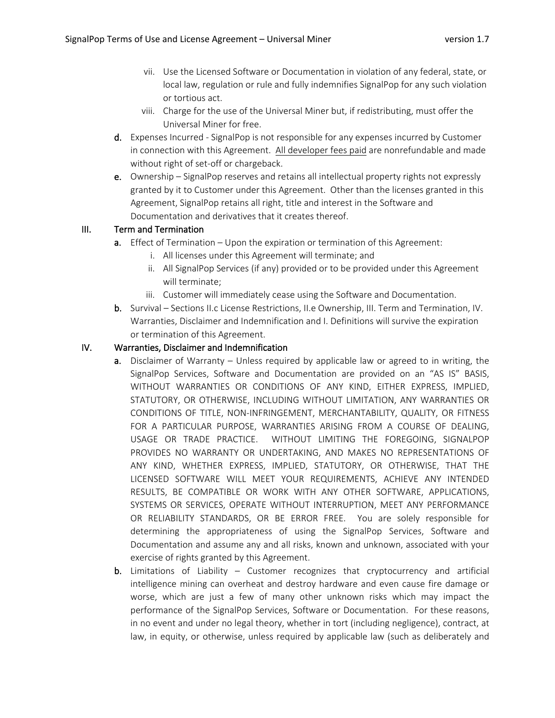- vii. Use the Licensed Software or Documentation in violation of any federal, state, or local law, regulation or rule and fully indemnifies SignalPop for any such violation or tortious act.
- viii. Charge for the use of the Universal Miner but, if redistributing, must offer the Universal Miner for free.
- d. Expenses Incurred SignalPop is not responsible for any expenses incurred by Customer in connection with this Agreement. All developer fees paid are nonrefundable and made without right of set-off or chargeback.
- e. Ownership SignalPop reserves and retains all intellectual property rights not expressly granted by it to Customer under this Agreement. Other than the licenses granted in this Agreement, SignalPop retains all right, title and interest in the Software and Documentation and derivatives that it creates thereof.

## III. Term and Termination

- a. Effect of Termination Upon the expiration or termination of this Agreement:
	- i. All licenses under this Agreement will terminate; and
	- ii. All SignalPop Services (if any) provided or to be provided under this Agreement will terminate;
	- iii. Customer will immediately cease using the Software and Documentation.
- b. Survival Sections II.c License Restrictions, II.e Ownership, III. Term and Termination, IV. Warranties, Disclaimer and Indemnification and I. Definitions will survive the expiration or termination of this Agreement.

## IV. Warranties, Disclaimer and Indemnification

- a. Disclaimer of Warranty Unless required by applicable law or agreed to in writing, the SignalPop Services, Software and Documentation are provided on an "AS IS" BASIS, WITHOUT WARRANTIES OR CONDITIONS OF ANY KIND, EITHER EXPRESS, IMPLIED, STATUTORY, OR OTHERWISE, INCLUDING WITHOUT LIMITATION, ANY WARRANTIES OR CONDITIONS OF TITLE, NON-INFRINGEMENT, MERCHANTABILITY, QUALITY, OR FITNESS FOR A PARTICULAR PURPOSE, WARRANTIES ARISING FROM A COURSE OF DEALING, USAGE OR TRADE PRACTICE. WITHOUT LIMITING THE FOREGOING, SIGNALPOP PROVIDES NO WARRANTY OR UNDERTAKING, AND MAKES NO REPRESENTATIONS OF ANY KIND, WHETHER EXPRESS, IMPLIED, STATUTORY, OR OTHERWISE, THAT THE LICENSED SOFTWARE WILL MEET YOUR REQUIREMENTS, ACHIEVE ANY INTENDED RESULTS, BE COMPATIBLE OR WORK WITH ANY OTHER SOFTWARE, APPLICATIONS, SYSTEMS OR SERVICES, OPERATE WITHOUT INTERRUPTION, MEET ANY PERFORMANCE OR RELIABILITY STANDARDS, OR BE ERROR FREE. You are solely responsible for determining the appropriateness of using the SignalPop Services, Software and Documentation and assume any and all risks, known and unknown, associated with your exercise of rights granted by this Agreement.
- b. Limitations of Liability Customer recognizes that cryptocurrency and artificial intelligence mining can overheat and destroy hardware and even cause fire damage or worse, which are just a few of many other unknown risks which may impact the performance of the SignalPop Services, Software or Documentation. For these reasons, in no event and under no legal theory, whether in tort (including negligence), contract, at law, in equity, or otherwise, unless required by applicable law (such as deliberately and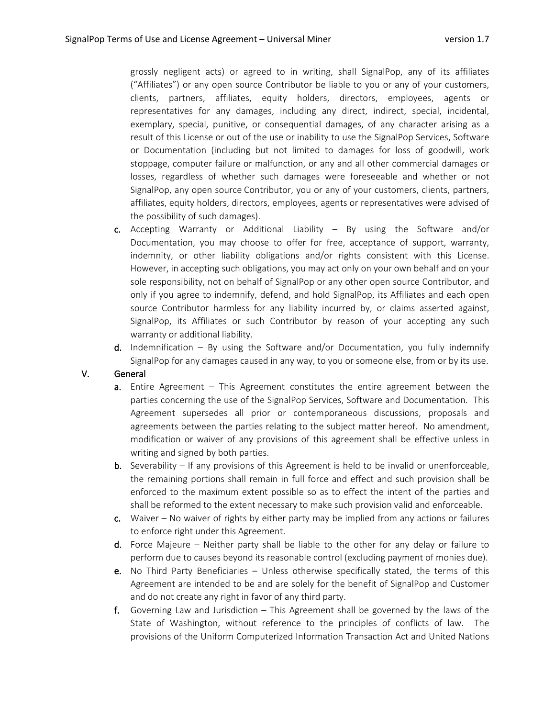grossly negligent acts) or agreed to in writing, shall SignalPop, any of its affiliates ("Affiliates") or any open source Contributor be liable to you or any of your customers, clients, partners, affiliates, equity holders, directors, employees, agents or representatives for any damages, including any direct, indirect, special, incidental, exemplary, special, punitive, or consequential damages, of any character arising as a result of this License or out of the use or inability to use the SignalPop Services, Software or Documentation (including but not limited to damages for loss of goodwill, work stoppage, computer failure or malfunction, or any and all other commercial damages or losses, regardless of whether such damages were foreseeable and whether or not SignalPop, any open source Contributor, you or any of your customers, clients, partners, affiliates, equity holders, directors, employees, agents or representatives were advised of the possibility of such damages).

- c. Accepting Warranty or Additional Liability By using the Software and/or Documentation, you may choose to offer for free, acceptance of support, warranty, indemnity, or other liability obligations and/or rights consistent with this License. However, in accepting such obligations, you may act only on your own behalf and on your sole responsibility, not on behalf of SignalPop or any other open source Contributor, and only if you agree to indemnify, defend, and hold SignalPop, its Affiliates and each open source Contributor harmless for any liability incurred by, or claims asserted against, SignalPop, its Affiliates or such Contributor by reason of your accepting any such warranty or additional liability.
- **d.** Indemnification By using the Software and/or Documentation, you fully indemnify SignalPop for any damages caused in any way, to you or someone else, from or by its use.

### V. General

- a. Entire Agreement This Agreement constitutes the entire agreement between the parties concerning the use of the SignalPop Services, Software and Documentation. This Agreement supersedes all prior or contemporaneous discussions, proposals and agreements between the parties relating to the subject matter hereof. No amendment, modification or waiver of any provisions of this agreement shall be effective unless in writing and signed by both parties.
- **b.** Severability If any provisions of this Agreement is held to be invalid or unenforceable, the remaining portions shall remain in full force and effect and such provision shall be enforced to the maximum extent possible so as to effect the intent of the parties and shall be reformed to the extent necessary to make such provision valid and enforceable.
- c. Waiver  $-$  No waiver of rights by either party may be implied from any actions or failures to enforce right under this Agreement.
- d. Force Majeure Neither party shall be liable to the other for any delay or failure to perform due to causes beyond its reasonable control (excluding payment of monies due).
- e. No Third Party Beneficiaries Unless otherwise specifically stated, the terms of this Agreement are intended to be and are solely for the benefit of SignalPop and Customer and do not create any right in favor of any third party.
- f. Governing Law and Jurisdiction This Agreement shall be governed by the laws of the State of Washington, without reference to the principles of conflicts of law. The provisions of the Uniform Computerized Information Transaction Act and United Nations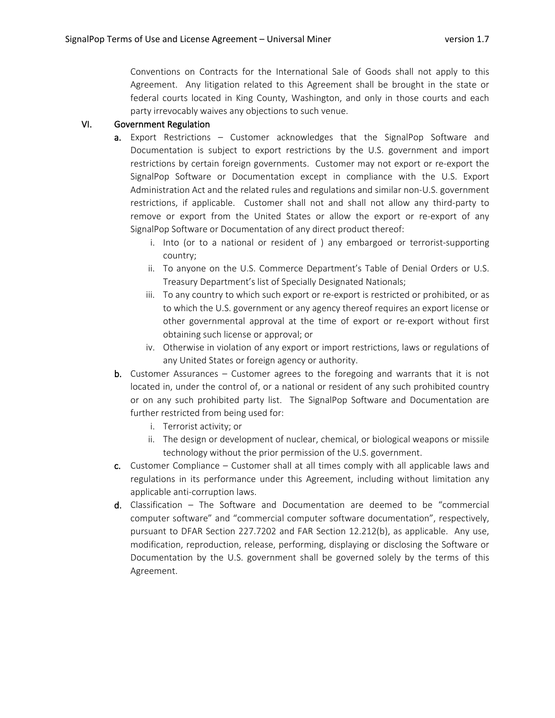Conventions on Contracts for the International Sale of Goods shall not apply to this Agreement. Any litigation related to this Agreement shall be brought in the state or federal courts located in King County, Washington, and only in those courts and each party irrevocably waives any objections to such venue.

#### VI. Government Regulation

- a. Export Restrictions Customer acknowledges that the SignalPop Software and Documentation is subject to export restrictions by the U.S. government and import restrictions by certain foreign governments. Customer may not export or re-export the SignalPop Software or Documentation except in compliance with the U.S. Export Administration Act and the related rules and regulations and similar non-U.S. government restrictions, if applicable. Customer shall not and shall not allow any third-party to remove or export from the United States or allow the export or re-export of any SignalPop Software or Documentation of any direct product thereof:
	- i. Into (or to a national or resident of ) any embargoed or terrorist-supporting country;
	- ii. To anyone on the U.S. Commerce Department's Table of Denial Orders or U.S. Treasury Department's list of Specially Designated Nationals;
	- iii. To any country to which such export or re-export is restricted or prohibited, or as to which the U.S. government or any agency thereof requires an export license or other governmental approval at the time of export or re-export without first obtaining such license or approval; or
	- iv. Otherwise in violation of any export or import restrictions, laws or regulations of any United States or foreign agency or authority.
- b. Customer Assurances Customer agrees to the foregoing and warrants that it is not located in, under the control of, or a national or resident of any such prohibited country or on any such prohibited party list. The SignalPop Software and Documentation are further restricted from being used for:
	- i. Terrorist activity; or
	- ii. The design or development of nuclear, chemical, or biological weapons or missile technology without the prior permission of the U.S. government.
- c. Customer Compliance Customer shall at all times comply with all applicable laws and regulations in its performance under this Agreement, including without limitation any applicable anti-corruption laws.
- d. Classification The Software and Documentation are deemed to be "commercial computer software" and "commercial computer software documentation", respectively, pursuant to DFAR Section 227.7202 and FAR Section 12.212(b), as applicable. Any use, modification, reproduction, release, performing, displaying or disclosing the Software or Documentation by the U.S. government shall be governed solely by the terms of this Agreement.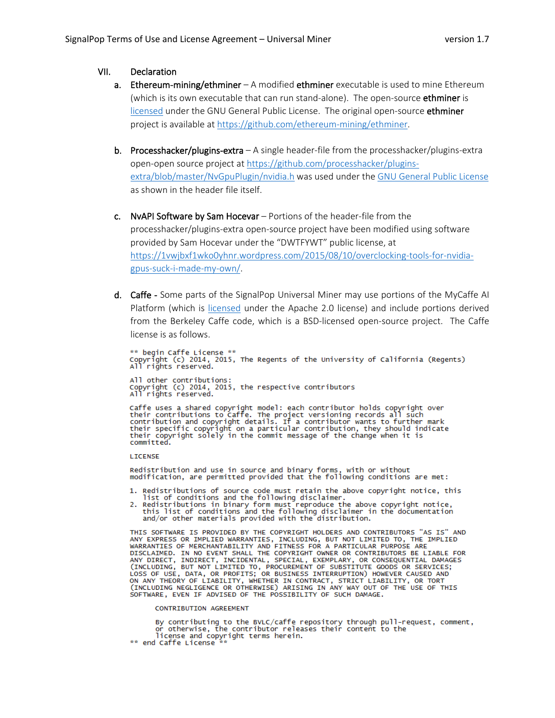#### VII. Declaration

- a. Ethereum-mining/ethminer A modified ethminer executable is used to mine Ethereum (which is its own executable that can run stand-alone). The open-source **ethminer** is [licensed](https://github.com/ethereum-mining/ethminer/blob/master/LICENSE) under the GNU General Public License. The original open-source ethminer project is available a[t https://github.com/ethereum-mining/ethminer.](https://github.com/ethereum-mining/ethminer)
- b. Processhacker/plugins-extra  $-A$  single header-file from the processhacker/plugins-extra open-open source project at [https://github.com/processhacker/plugins](https://github.com/processhacker/plugins-extra/blob/master/NvGpuPlugin/nvidia.h)[extra/blob/master/NvGpuPlugin/nvidia.h](https://github.com/processhacker/plugins-extra/blob/master/NvGpuPlugin/nvidia.h) was used under the [GNU General Public License](http://www.gnu.org/licenses/) as shown in the header file itself.
- c. NvAPI Software by Sam Hocevar Portions of the header-file from the processhacker/plugins-extra open-source project have been modified using software provided by Sam Hocevar under the "DWTFYWT" public license, at [https://1vwjbxf1wko0yhnr.wordpress.com/2015/08/10/overclocking-tools-for-nvidia](https://1vwjbxf1wko0yhnr.wordpress.com/2015/08/10/overclocking-tools-for-nvidia-gpus-suck-i-made-my-own/)[gpus-suck-i-made-my-own/.](https://1vwjbxf1wko0yhnr.wordpress.com/2015/08/10/overclocking-tools-for-nvidia-gpus-suck-i-made-my-own/)
- d. Caffe Some parts of the SignalPop Universal Miner may use portions of the MyCaffe AI Platform (which is [licensed](https://github.com/MyCaffe/MyCaffe/blob/master/LICENSE) under the Apache 2.0 license) and include portions derived from the Berkeley Caffe code, which is a BSD-licensed open-source project. The Caffe license is as follows.

\*\* begin Caffe License \*\*<br>Copyright (c) 2014, 2015, The Regents of the University of California (Regents)<br>All rights reserved. All other contributions:

Copyright (c) 2014, 2015, the respective contributors<br>All rights reserved.

Caffe uses a shared copyright model: each contributor holds copyright over<br>their contributions to Caffe. The project versioning records all such<br>contribution and copyright details. If a contributor wants to further mark<br>th committed.

#### **LICENSE**

Redistribution and use in source and binary forms, with or without<br>modification, are permitted provided that the following conditions are met:

- 1. Redistributions of source code must retain the above copyright notice, this
- Figure 1. Next intervals of conditions and the following disclaimer.<br>
2. Redistributions in binary form must reproduce the above copyright notice,<br>
this list of conditions and the following disclaimer in the documentation<br>

THIS SOFTWARE IS PROVIDED BY THE COPYRIGHT HOLDERS AND CONTRIBUTORS "AS IS" AND THIS SOFTWARE IS PROVIDED WARRANTIES, INCLUDING, BUT NOT LIMITED TO, THE IMPLIED<br>WARRANTIES OR IMPLIED WARRANTIES, INCLUDING, BUT NOT LIMITED TO, THE IMPLIED<br>WARRANTIES OF MERCHANTABILITY AND FITNESS FOR A PARTICULAR PURPO CINCLUDING, BUT NOT LIMITED TO, PROCUREMENT OF SUBSTITUTE GOODS OR SERVICES;<br>LOSS OF USE, DATA, OR PROFITS; OR BUSINESS INTERRUPTION) HOWEVER CAUSED AND<br>ON ANY THEORY OF LIABILITY, WHETHER IN CONTRACT, STRICT LIABILITY, OR SOFTWARE, EVEN IF ADVISED OF THE POSSIBILITY OF SUCH DAMAGE.

#### **CONTRIBUTION AGREEMENT**

By contributing to the BVLC/caffe repository through pull-request, comment,<br>or otherwise, the contributor releases their content to the license and copyright terms herein.<br>\*\* end Caffe License \*\*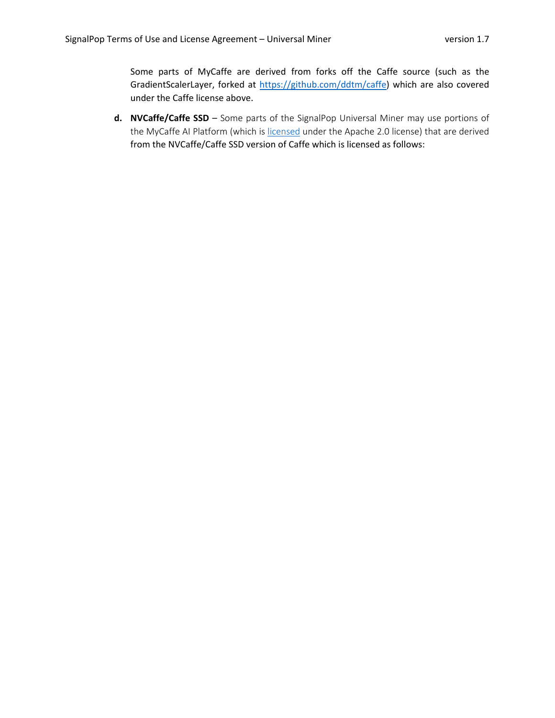Some parts of MyCaffe are derived from forks off the Caffe source (such as the GradientScalerLayer, forked at [https://github.com/ddtm/caffe\)](https://github.com/ddtm/caffe) which are also covered under the Caffe license above.

**d. NVCaffe/Caffe SSD** – Some parts of the SignalPop Universal Miner may use portions of the MyCaffe AI Platform (which is [licensed](https://github.com/MyCaffe/MyCaffe/blob/master/LICENSE) under the Apache 2.0 license) that are derived from the NVCaffe/Caffe SSD version of Caffe which is licensed as follows: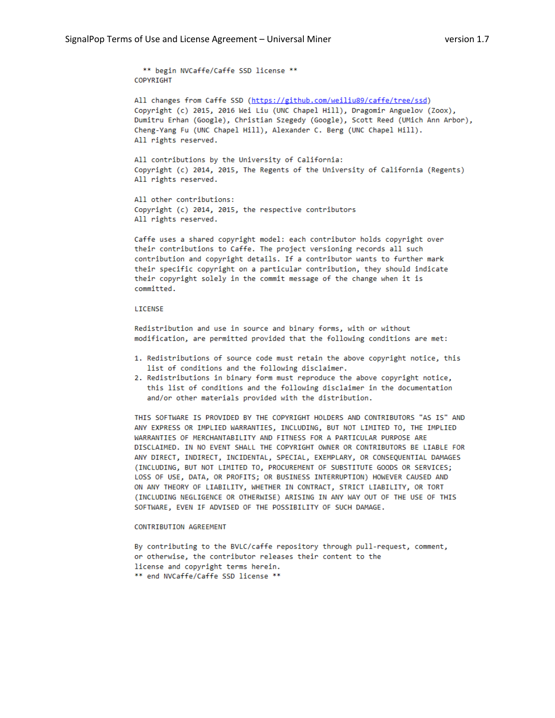\*\* begin NVCaffe/Caffe SSD license \*\* COPYRIGHT

All changes from Caffe SSD (https://github.com/weiliu89/caffe/tree/ssd) Copyright (c) 2015, 2016 Wei Liu (UNC Chapel Hill), Dragomir Anguelov (Zoox), Dumitru Erhan (Google), Christian Szegedy (Google), Scott Reed (UMich Ann Arbor), Cheng-Yang Fu (UNC Chapel Hill), Alexander C. Berg (UNC Chapel Hill). All rights reserved.

All contributions by the University of California: Copyright (c) 2014, 2015, The Regents of the University of California (Regents) All rights reserved.

All other contributions: Copyright (c) 2014, 2015, the respective contributors All rights reserved.

Caffe uses a shared copyright model: each contributor holds copyright over their contributions to Caffe. The project versioning records all such contribution and copyright details. If a contributor wants to further mark their specific copyright on a particular contribution, they should indicate their copyright solely in the commit message of the change when it is committed.

#### LICENSE

Redistribution and use in source and binary forms, with or without modification, are permitted provided that the following conditions are met:

- 1. Redistributions of source code must retain the above copyright notice, this list of conditions and the following disclaimer.
- 2. Redistributions in binary form must reproduce the above copyright notice, this list of conditions and the following disclaimer in the documentation and/or other materials provided with the distribution.

THIS SOFTWARE IS PROVIDED BY THE COPYRIGHT HOLDERS AND CONTRIBUTORS "AS IS" AND ANY EXPRESS OR IMPLIED WARRANTIES, INCLUDING, BUT NOT LIMITED TO, THE IMPLIED WARRANTIES OF MERCHANTABILITY AND FITNESS FOR A PARTICULAR PURPOSE ARE DISCLAIMED. IN NO EVENT SHALL THE COPYRIGHT OWNER OR CONTRIBUTORS BE LIABLE FOR ANY DIRECT, INDIRECT, INCIDENTAL, SPECIAL, EXEMPLARY, OR CONSEQUENTIAL DAMAGES (INCLUDING, BUT NOT LIMITED TO, PROCUREMENT OF SUBSTITUTE GOODS OR SERVICES; LOSS OF USE, DATA, OR PROFITS; OR BUSINESS INTERRUPTION) HOWEVER CAUSED AND ON ANY THEORY OF LIABILITY, WHETHER IN CONTRACT, STRICT LIABILITY, OR TORT (INCLUDING NEGLIGENCE OR OTHERWISE) ARISING IN ANY WAY OUT OF THE USE OF THIS SOFTWARE, EVEN IF ADVISED OF THE POSSIBILITY OF SUCH DAMAGE.

#### CONTRIBUTION AGREEMENT

By contributing to the BVLC/caffe repository through pull-request, comment, or otherwise, the contributor releases their content to the license and copyright terms herein. \*\* end NVCaffe/Caffe SSD license \*\*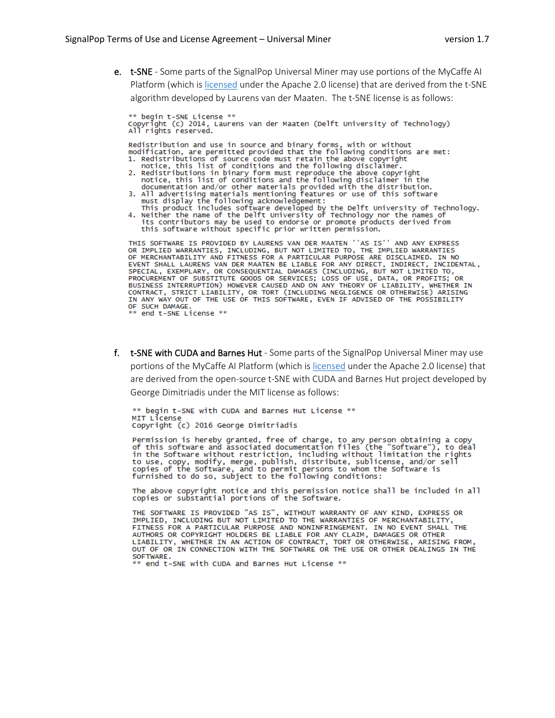e. t-SNE - Some parts of the SignalPop Universal Miner may use portions of the MyCaffe AI Platform (which is licensed under the Apache 2.0 license) that are derived from the t-SNE algorithm developed by Laurens van der Maaten. The t-SNE license is as follows:

\*\* begin t-SNE License \*\* Copyright (c) 2014, Laurens van der Maaten (Delft University of Technology)<br>All rights reserved.

Redistribution and use in source and binary forms, with or without<br>modification, are permitted provided that the following conditions are met:

- modification, are permitted provided that the following conditions are measured.<br>
1. Redistributions of source code must retain the above copyright<br>
notice, this list of conditions and the following disclaimer.<br>
2. Redistr
- 
- must display the following acknowledgement:<br>This product includes software developed by the Delft University of Technology.<br>4. Neither the name of the Delft University of Technology nor the names of
	- its contributors may be used to endorse or promote products derived from<br>this software without specific prior written permission.

```
THIS SOFTWARE IS PROVIDED BY LAURENS VAN DER MAATEN ''AS IS'' AND ANY EXPRESS<br>OR IMPLIED WARRANTIES, INCLUDING, BUT NOT LIMITED TO, THE IMPLIED WARRANTIES<br>OF MERCHANTABILITY AND FITNESS FOR A PARTICULAR PURPOSE ARE DISCLAI
IN ANY WAY OUT OF THE USE OF THIS SOFTWARE, EVEN IF ADVISED OF THE POSSIBILITY
OF SUCH DAMAGE.
 ** end t-SNE License **
```
f. t-SNE with CUDA and Barnes Hut - Some parts of the SignalPop Universal Miner may use portions of the MyCaffe AI Platform (which is licensed under the Apache 2.0 license) that are derived from the open-source t-SNE with CUDA and Barnes Hut project developed by George Dimitriadis under the MIT license as follows:

\*\* begin t-SNE with CUDA and Barnes Hut License \*\* MIT License Copyright (c) 2016 George Dimitriadis

Permission is hereby granted, free of charge, to any person obtaining a copy<br>of this software and associated documentation files (the "Software"), to deal of this software without restriction, including without limitation the rights<br>to use, copy, modify, merge, publish, distribute, sublicense, and/or sell<br>copies of the Software, and to permit persons to whom the Software is<br>

The above copyright notice and this permission notice shall be included in all copies or substantial portions of the Software.

THE SOFTWARE IS PROVIDED "AS IS", WITHOUT WARRANTY OF ANY KIND, EXPRESS OR<br>IMPLIED, INCLUDING BUT NOT LIMITED TO THE WARRANTIES OF MERCHANTABILITY, FITNESS FOR A PARTICULAR PURPOSE AND NONINFRINGEMENT. IN NO EVENT SHALL THE AUTHORS OR COPYRIGHT HOLDERS BE LIABLE FOR ANY CLAIM, DAMAGES OR OTHER<br>LIABILITY, WHETHER IN AN ACTION OF CONTRACT, TORT OR OTHERWISE, ARISING FROM,<br>OUT OF OR IN CONNECTION WITH THE SOFTWARE OR THE USE OR OTHER DEALINGS IN SOFTWARE.

\* end t-SNE with CUDA and Barnes Hut License \*\*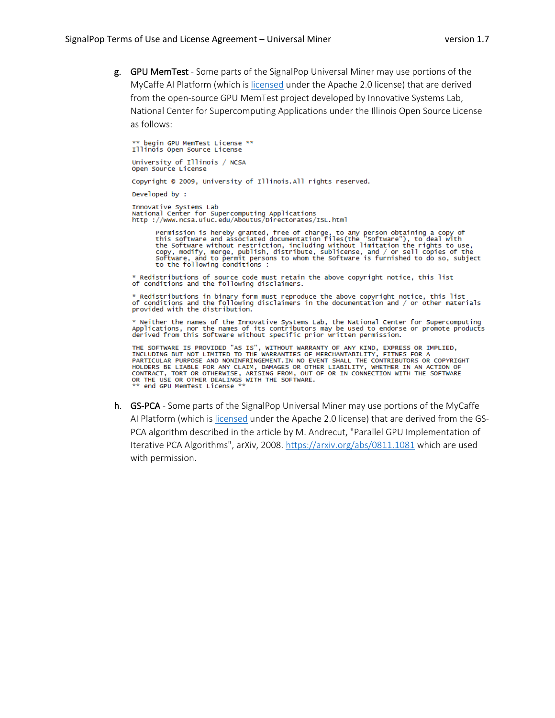g. GPU MemTest - Some parts of the SignalPop Universal Miner may use portions of the MyCaffe AI Platform (which is [licensed](https://github.com/MyCaffe/MyCaffe/blob/master/LICENSE) under the Apache 2.0 license) that are derived from the open-source GPU MemTest project developed by Innovative Systems Lab, National Center for Supercomputing Applications under the Illinois Open Source License as follows:

\*\* begin GPU MemTest License \*\* Illinois Open Source License

University of Illinois / NCSA Open Source License

Copyright © 2009, University of Illinois.All rights reserved.

Developed by :

Innovative Systems Lab<br>National Center for Supercomputing Applications<br>http ://www.ncsa.uiuc.edu/AboutUs/Directorates/ISL.html

Permission is hereby granted, free of charge, to any person obtaining a copy of<br>this software and associated documentation files(the "software"), to deal with<br>the Software without restriction, including without limitation

 $\,^*$  Redistributions of source code must retain the above copyright notice, this list of conditions and the following disclaimers.

Redistributions in binary form must reproduce the above copyright notice, this list realistributions in binary form must reproduce the above copyright hotice, this fist<br>of conditions and the following disclaimers in the documentation and / or other materials<br>provided with the distribution.

\* Neither the names of the Innovative Systems Lab, the National Center for Supercomputing<br>Applications, nor the names of its contributors may be used to endorse or promote products<br>derived from this Software without specif

THE SOFTWARE IS PROVIDED "AS IS", WITHOUT WARRANTY OF ANY KIND, EXPRESS OR IMPLIED,<br>INCLUDING BUT NOT LIMITED TO THE WARRANTIES OF MERCHANTABILITY, FITNES FOR A INCLUDING BUT NOT LIMITED TO THE WARRANTIES OF MERCHANTABILITY, FITNES FOR A<br>PARTICULAR PURPOSE AND NONINFRINGEMENT.IN NO EVENT SHALL THE CONTRIBUTORS OR COPYRIGHT<br>HOLDERS BE LIABLE FOR ANY CLAIM, DAMAGES OR OTHER LIABILIT end GPU MemTest License

h. GS-PCA - Some parts of the SignalPop Universal Miner may use portions of the MyCaffe AI Platform (which is [licensed](https://github.com/MyCaffe/MyCaffe/blob/master/LICENSE) under the Apache 2.0 license) that are derived from the GS-PCA algorithm described in the article by M. Andrecut, "Parallel GPU Implementation of Iterative PCA Algorithms", arXiv, 2008.<https://arxiv.org/abs/0811.1081> which are used with permission.